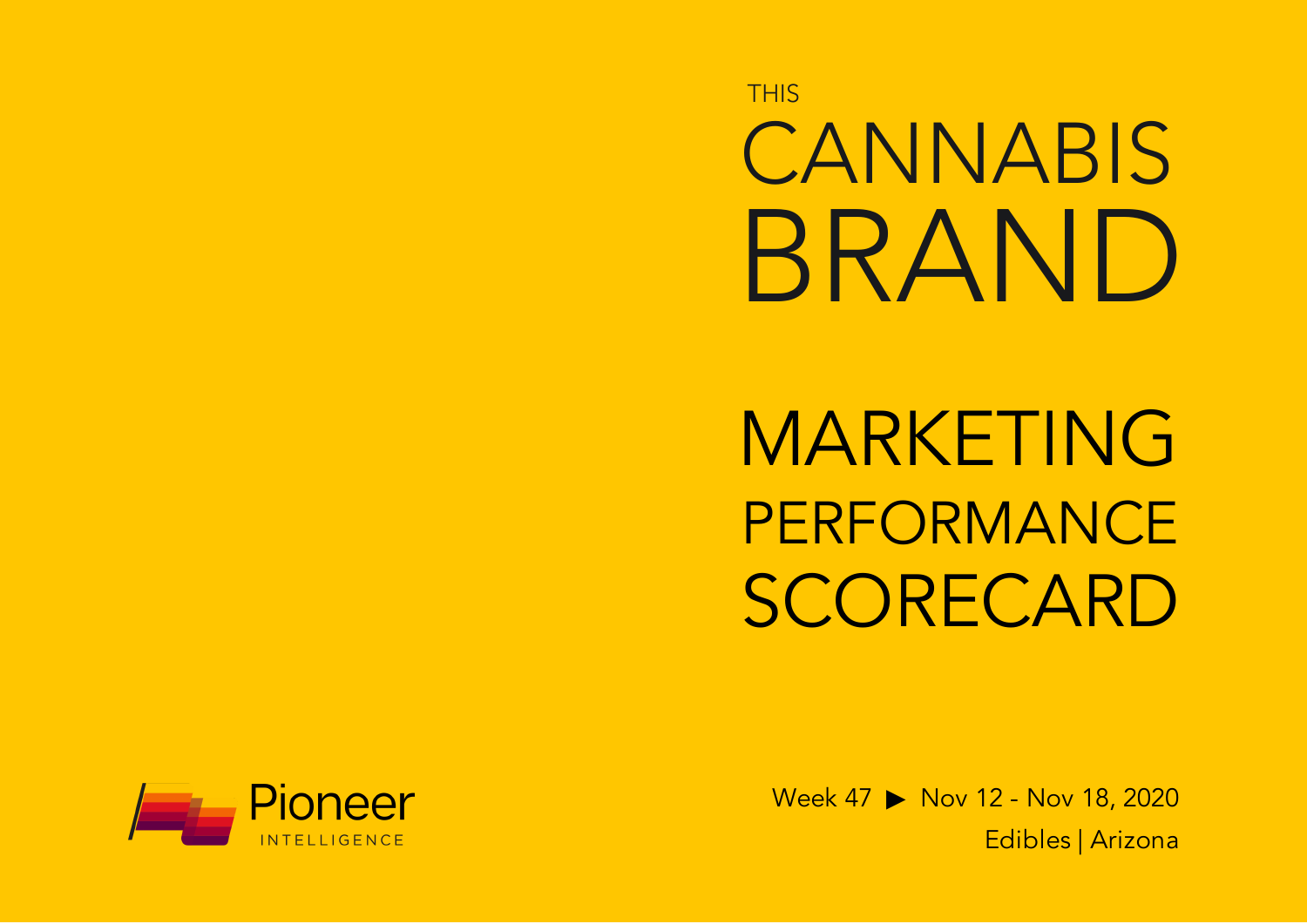**THIS** CANNABIS BRAND

MARKETING PERFORMANCE SCORECARD



Week 47 ▶ Nov 12 - Nov 18, 2020 Edibles | Arizona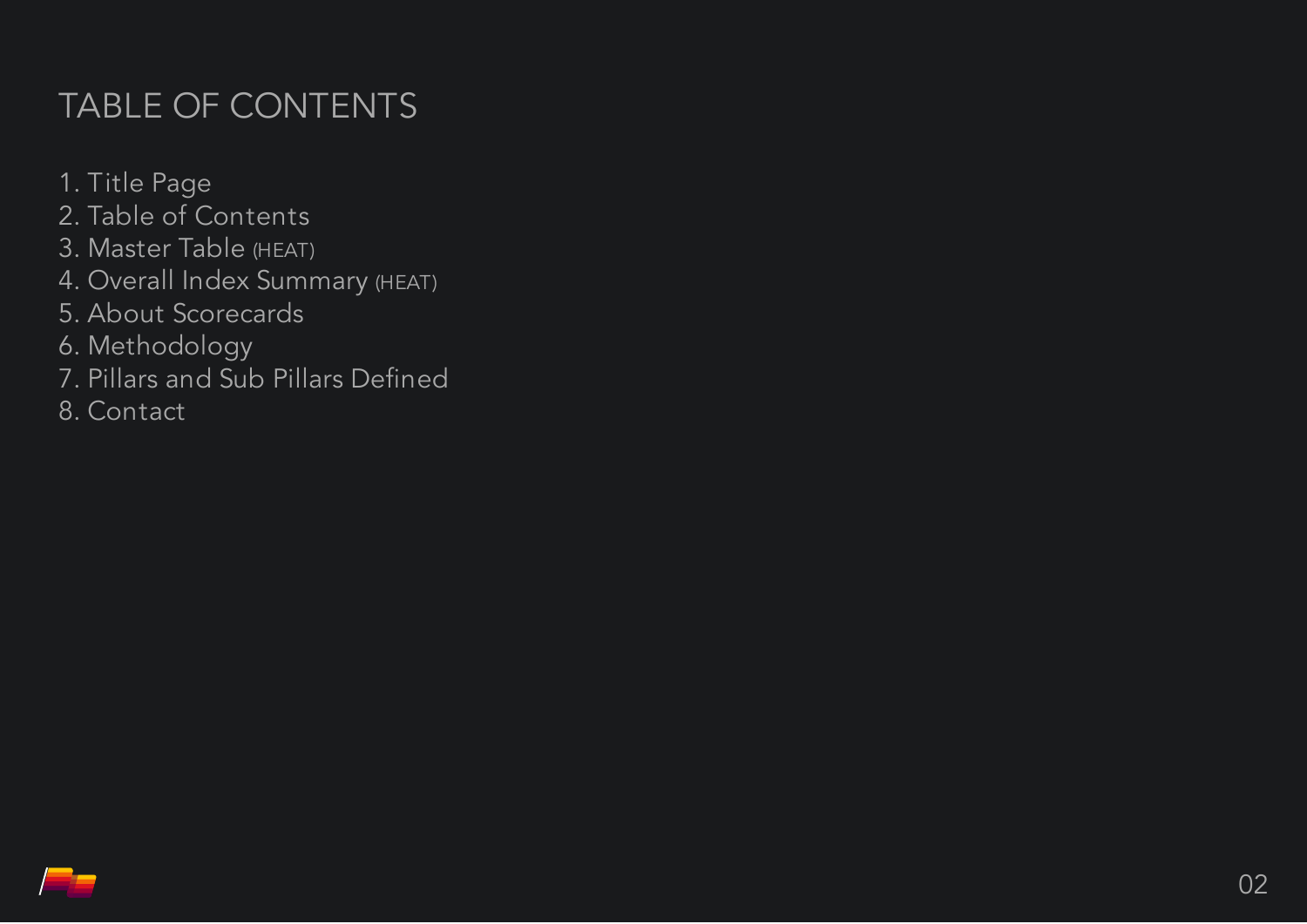# TABLE OF CONTENTS

1. Title Page 2. Table of Contents 3. Master Table (HEAT) 4. Overall Index Summary (HEAT) 5. About Scorecards 6. Methodology 7. Pillars and Sub Pillars Defined 8. Contact

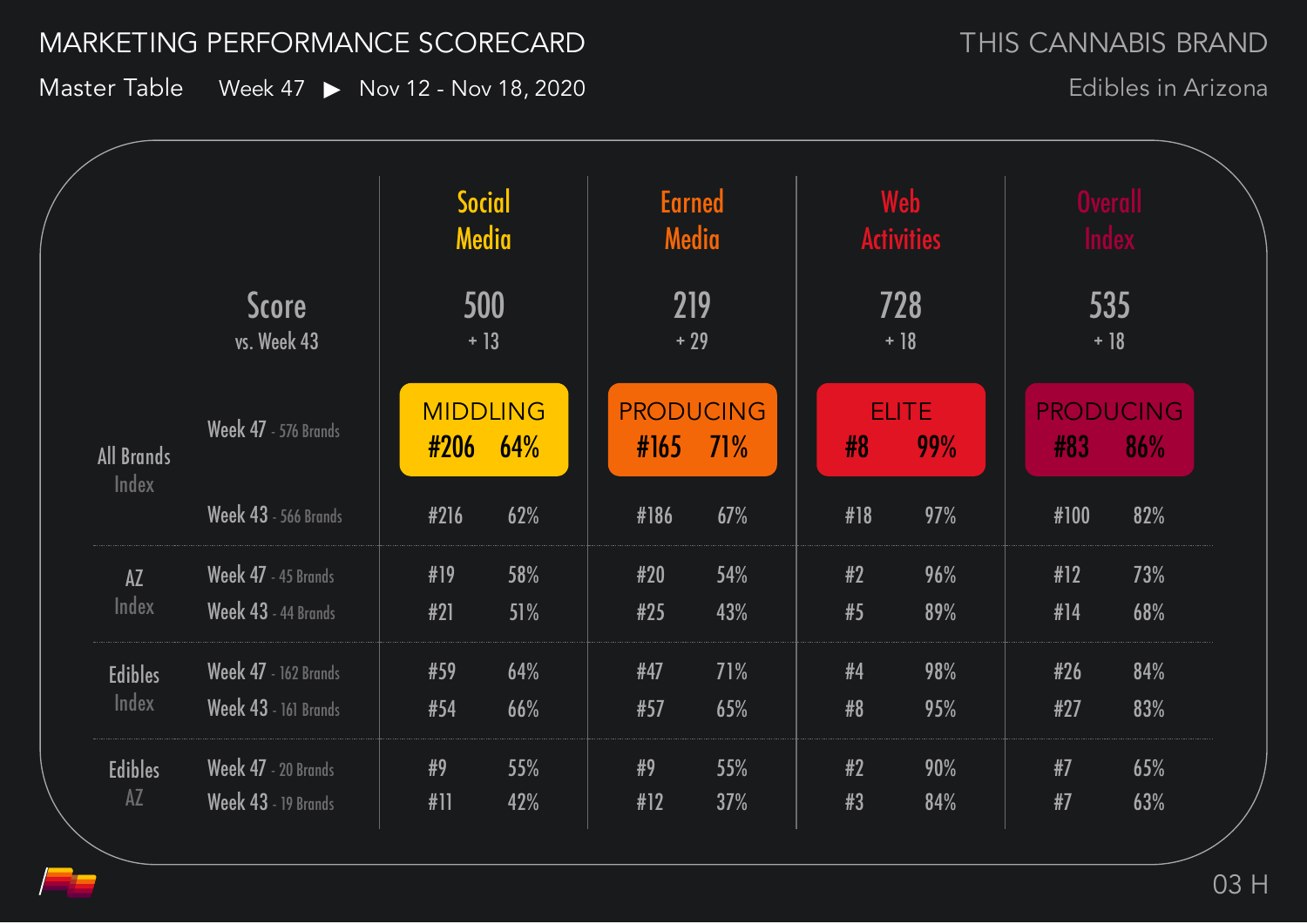### MARKETING PERFORMANCE SCORECARD

Master Table Week 47 > Nov 12 - Nov 18, 2020

Edibles in Arizona

| <b>Score</b><br>vs. Week 43 |                             | Social<br>Media<br>500<br>$+13$ |      | <b>Earned</b><br>Media<br>219<br>$+29$ |     | Web<br><b>Activities</b><br>728<br>$+18$ |      | <b>Overall</b><br><b>Index</b><br>535<br>$+18$ |     |
|-----------------------------|-----------------------------|---------------------------------|------|----------------------------------------|-----|------------------------------------------|------|------------------------------------------------|-----|
|                             |                             |                                 |      |                                        |     |                                          |      |                                                |     |
| <b>Week 43</b> - 566 Brands | #216                        | 62%                             | #186 | 67%                                    | #18 | 97%                                      | #100 | 82%                                            |     |
| AZ                          | Week 47 - 45 Brands         | #19                             | 58%  | #20                                    | 54% | #2                                       | 96%  | #12                                            | 73% |
| Index                       | Week 43 - 44 Brands         | #21                             | 51%  | #25                                    | 43% | #5                                       | 89%  | #14                                            | 68% |
| <b>Edibles</b>              | <b>Week 47</b> - 162 Brands | #59                             | 64%  | #47                                    | 71% | #4                                       | 98%  | #26                                            | 84% |
| Index                       | Week 43 - 161 Brands        | #54                             | 66%  | #57                                    | 65% | #8                                       | 95%  | #27                                            | 83% |
| <b>Edibles</b>              | Week 47 - 20 Brands         | #9                              | 55%  | #9                                     | 55% | #2                                       | 90%  | #7                                             | 65% |
| $A\overline{Z}$             | Week 43 - 19 Brands         | #11                             | 42%  | #12                                    | 37% | #3                                       | 84%  | #7                                             | 63% |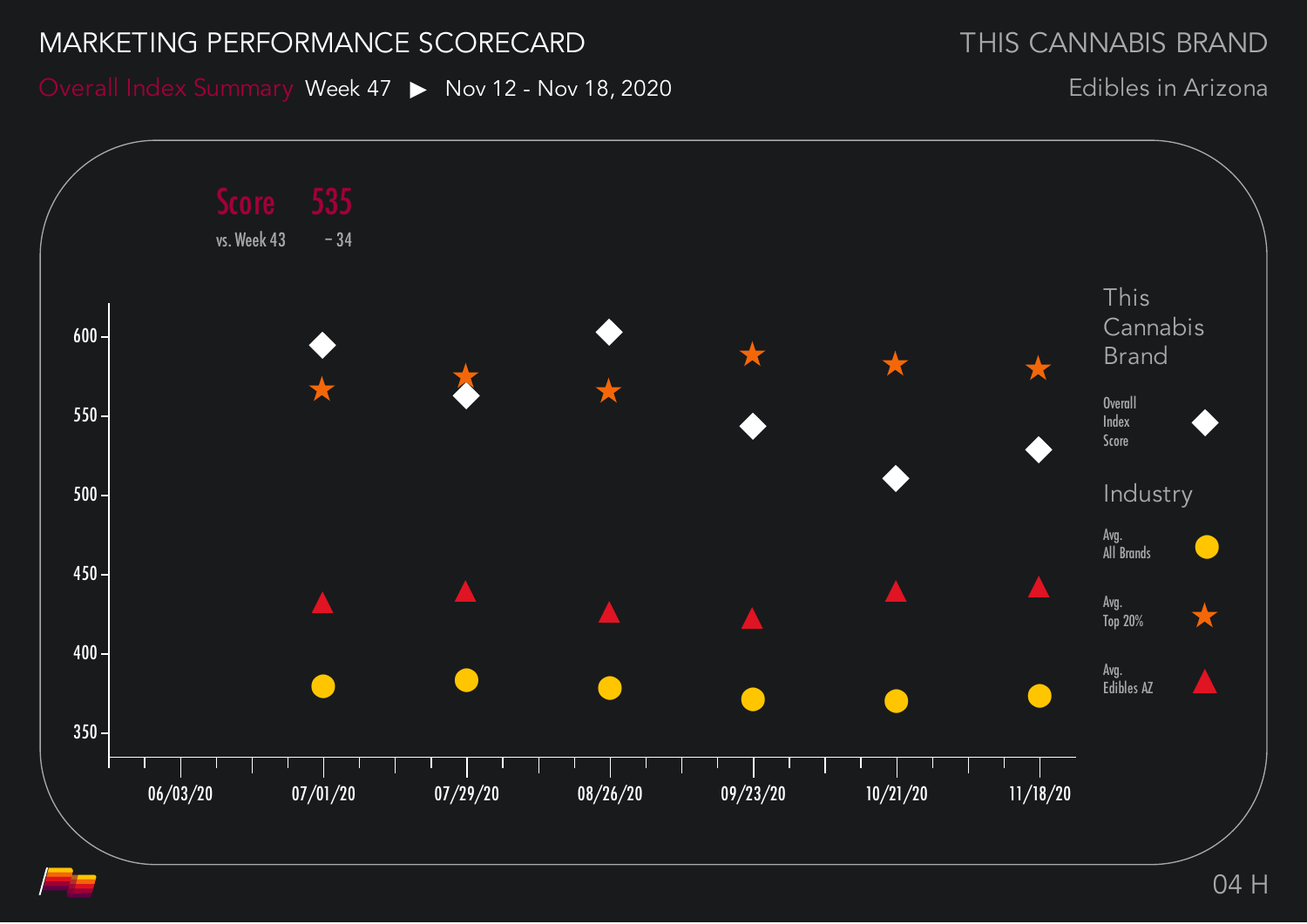#### MARKETING PERFORMANCE SCORECARD

THIS CANNABIS BRAND

Overall Index Summary Week 47 > Nov 12 - Nov 18, 2020

Edibles in Arizona

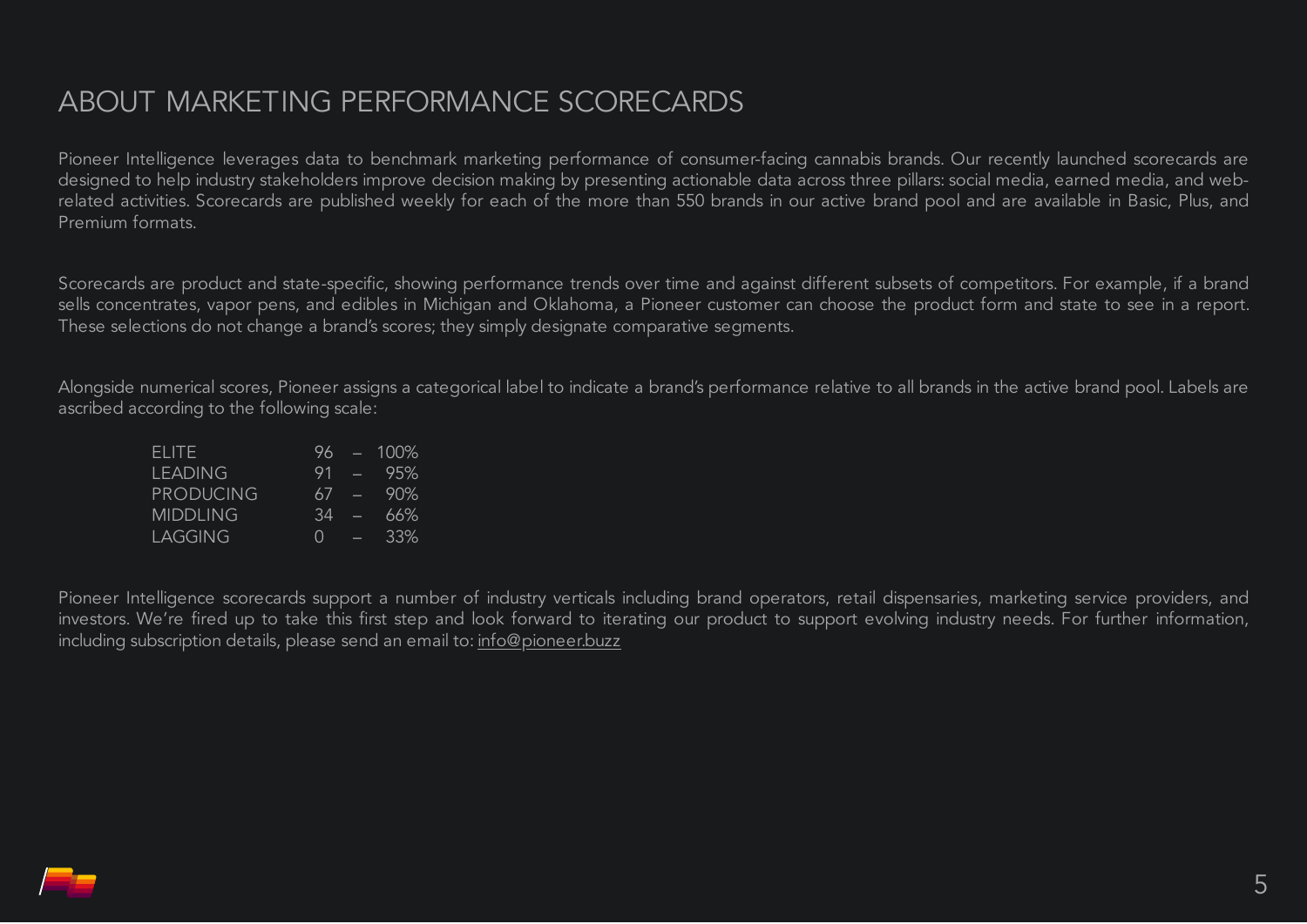## ABOUT MARKETING PERFORMANCE SCORECARDS

Pioneer Intelligence leverages data to benchmark marketing performance of consumer-facing cannabis brands. Our recently launched scorecards are designed to help industry stakeholders improve decision making by presenting actionable data across three pillars: social media, earned media, and webrelated activities. Scorecards are published weekly for each of the more than 550 brands in our active brand pool and are available in Basic, Plus, and Premium formats.

Scorecards are product and state-specific, showing performance trends over time and against different subsets of competitors. For example, if a brand sells concentrates, vapor pens, and edibles in Michigan and Oklahoma, a Pioneer customer can choose the product form and state to see in a report. These selections do not change a brand's scores; they simply designate comparative segments.

Alongside numerical scores, Pioneer assigns a categorical label to indicate a brand's performance relative to all brands in the active brand pool. Labels are ascribed according to the following scale:

| FLITE.           | 96.    |          | $-100\%$ |
|------------------|--------|----------|----------|
| <b>LEADING</b>   | 91     |          | - 95%    |
| <b>PRODUCING</b> | 67     | $\equiv$ | 90%      |
| <b>MIDDLING</b>  | 34     | Ø        | 66%      |
| LAGGING          | $\cap$ | E        | 33%      |

Pioneer Intelligence scorecards support a number of industry verticals including brand operators, retail dispensaries, marketing service providers, and investors. We're fired up to take this first step and look forward to iterating our product to support evolving industry needs. For further information, including subscription details, please send an email to: [info@pioneer.buzz](mailto:info@pioneer.buzz)

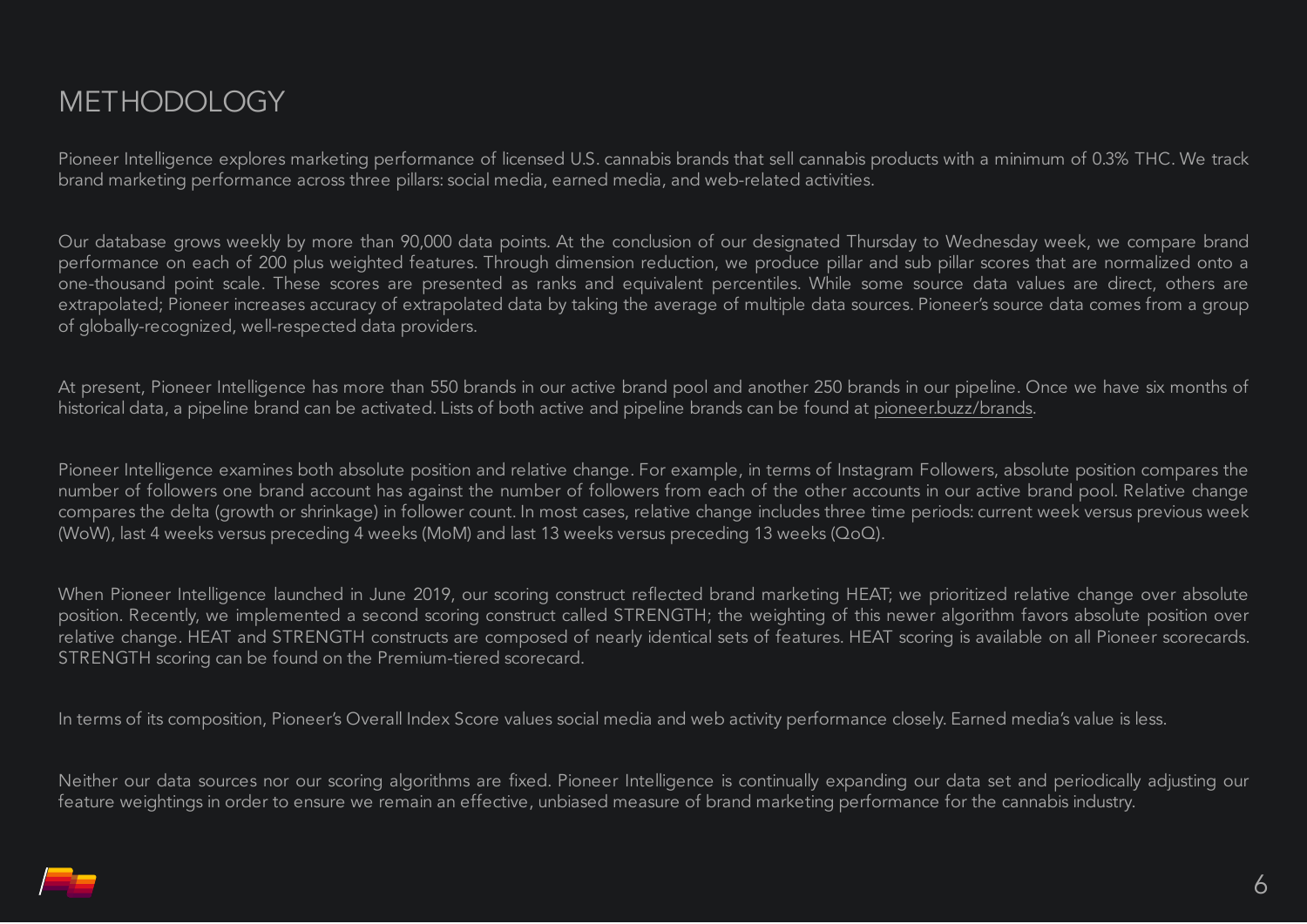Pioneer Intelligence explores marketing performance of licensed U.S. cannabis brands that sell cannabis products with a minimum of 0.3% THC. We track brand marketing performance across three pillars: social media, earned media, and web-related activities.

Our database grows weekly by more than 90,000 data points. At the conclusion of our designated Thursday to Wednesday week, we compare brand performance on each of 200 plus weighted features. Through dimension reduction, we produce pillar and sub pillar scores that are normalized onto a one-thousand point scale. These scores are presented as ranks and equivalent percentiles. While some source data values are direct, others are extrapolated; Pioneer increases accuracy of extrapolated data by taking the average of multiple data sources. Pioneer's source data comes from a group of globally-recognized, well-respected data providers.

At present, Pioneer Intelligence has more than 550 brands in our active brand pool and another 250 brands in our pipeline. Once we have six months of historical data, a pipeline brand can be activated. Lists of both active and pipeline brands can be found at pioneer.buzz/brands.

Pioneer Intelligence examines both absolute position and relative change. For example, in terms of Instagram Followers, absolute position compares the number of followers one brand account has against the number of followers from each of the other accounts in our active brand pool. Relative change compares the delta (growth or shrinkage) in follower count. In most cases, relative change includes three time periods: current week versus previous week (WoW), last 4 weeks versus preceding 4 weeks (MoM) and last 13 weeks versus preceding 13 weeks (QoQ).

When Pioneer Intelligence launched in June 2019, our scoring construct reflected brand marketing HEAT; we prioritized relative change over absolute position. Recently, we implemented a second scoring construct called STRENGTH; the weighting of this newer algorithm favors absolute position over relative change. HEAT and STRENGTH constructs are composed of nearly identical sets of features. HEAT scoring is available on all Pioneer scorecards. STRENGTH scoring can be found on the Premium-tiered scorecard.

In terms of its composition, Pioneer's Overall Index Score values social media and web activity performance closely. Earned media's value is less.

Neither our data sources nor our scoring algorithms are fixed. Pioneer Intelligence is continually expanding our data set and periodically adjusting our feature weightings in order to ensure we remain an effective, unbiased measure of brand marketing performance for the cannabis industry.

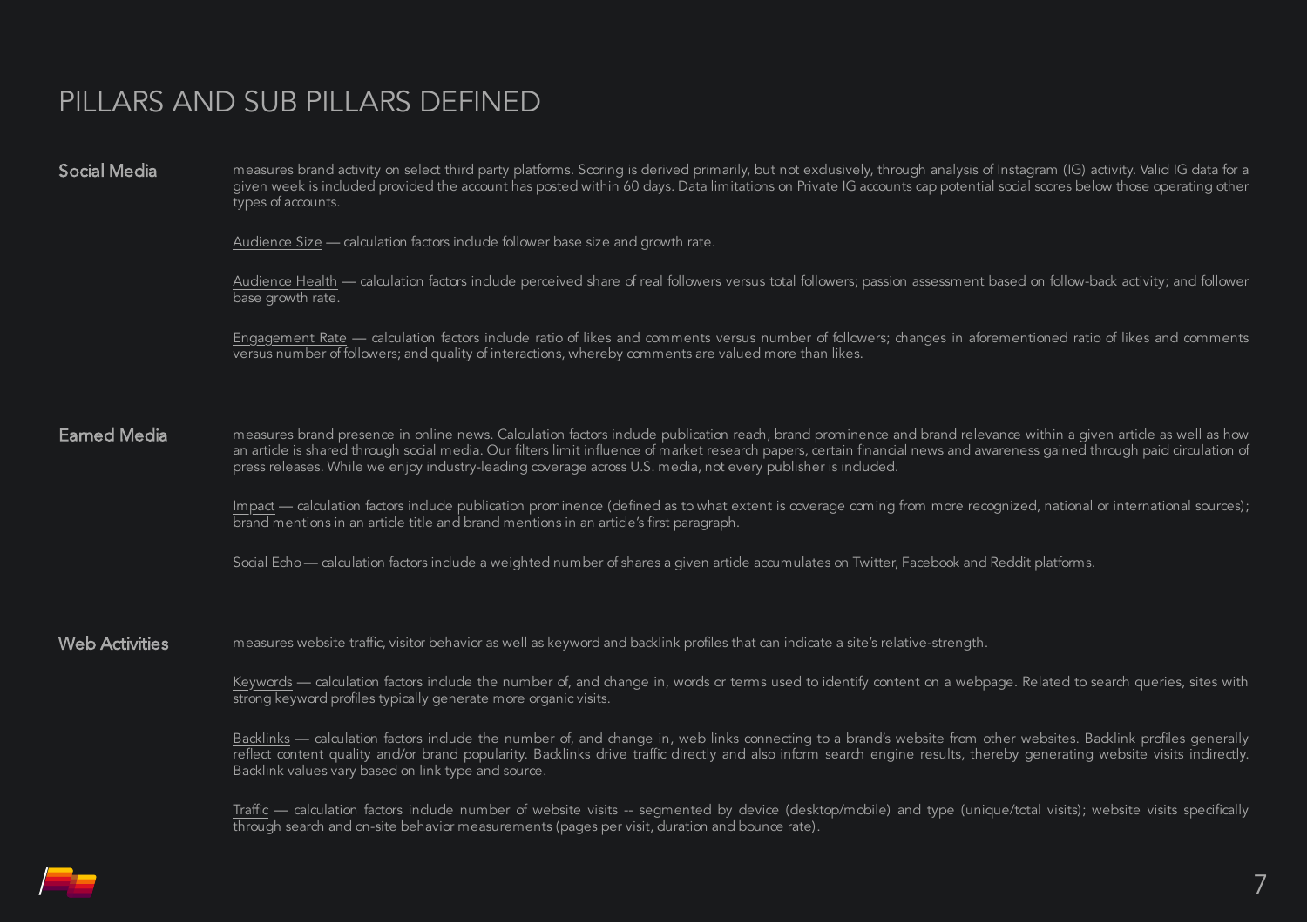## PILLARS AND SUB PILLARS DEFINED

Social Media measures brand activity on select third party platforms. Scoring is derived primarily, but not exclusively, through analysis of Instagram (IG) activity. Valid IG data for a given week is included provided the account has posted within 60 days. Data limitations on Private IG accounts cap potential social scores below those operating other types of accounts.

Audience Size — calculation factors include follower base size and growth rate.

Audience Health — calculation factors include perceived share of real followers versus total followers; passion assessment based on follow-back activity; and follower base growth rate.

Engagement Rate — calculation factors include ratio of likes and comments versus number of followers; changes in aforementioned ratio of likes and comments versus number of followers; and quality of interactions, whereby comments are valued more than likes.

**Earned Media** measures brand presence in online news. Calculation factors include publication reach, brand prominence and brand relevance within a given article as well as how an article is shared through social media. Our filters limit influence of market research papers, certain financial news and awareness gained through paid circulation of press releases. While we enjoy industry-leading coverage across U.S. media, not every publisher is included.

> Impact — calculation factors include publication prominence (defined as to what extent is coverage coming from more recognized, national or international sources); brand mentions in an article title and brand mentions in an article's first paragraph.

Social Echo — calculation factors include a weighted number of shares a given article accumulates on Twitter, Facebook and Reddit platforms.

Web Activities measures website traffic, visitor behavior as well as keyword and backlink profiles that can indicate a site's relative-strength.

Keywords — calculation factors include the number of, and change in, words or terms used to identify content on a webpage. Related to search queries, sites with strong keyword profiles typically generate more organic visits.

Backlinks — calculation factors include the number of, and change in, web links connecting to a brand's website from other websites. Backlink profiles generally reflect content quality and/or brand popularity. Backlinks drive traffic directly and also inform search engine results, thereby generating website visits indirectly. Backlink values vary based on link type and source.

Traffic — calculation factors include number of website visits -- segmented by device (desktop/mobile) and type (unique/total visits); website visits specifically through search and on-site behavior measurements (pages per visit, duration and bounce rate).